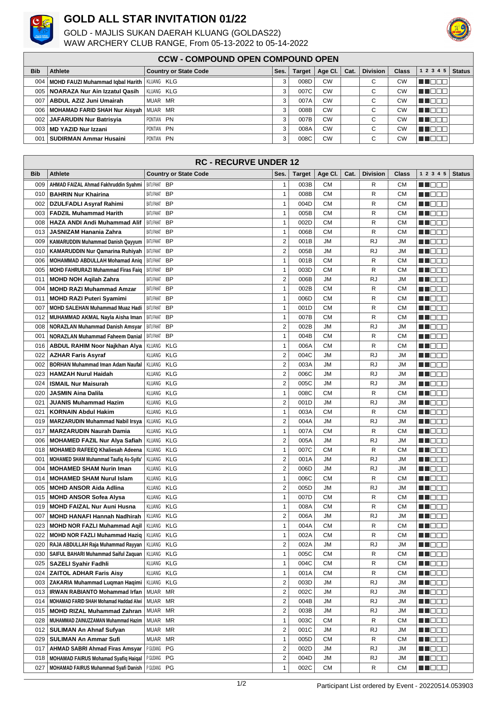

## **GOLD ALL STAR INVITATION 01/22**

GOLD - MAJLIS SUKAN DAERAH KLUANG (GOLDAS22) WAW ARCHERY CLUB RANGE, From 05-13-2022 to 05-14-2022



## **CCW - COMPOUND OPEN COMPOUND OPEN**

| <b>Bib</b>       | Athlete                                             | <b>Country or State Code</b> | Ses. | Target | Age Cl. $ $ | Cat. | Division | <b>Class</b> | 1 2 3 4 5 | <b>Status</b> |
|------------------|-----------------------------------------------------|------------------------------|------|--------|-------------|------|----------|--------------|-----------|---------------|
|                  |                                                     |                              |      |        |             |      |          |              |           |               |
|                  | 004   MOHD FAUZI Muhammad labal Harith   KLUANG KLG |                              |      | 008D   | <b>CW</b>   |      | $\sim$   | СW           | THE PIPE  |               |
|                  | 005   NOARAZA Nur Ain Izzatul Qasih                 | IKLUANG KLG                  |      | 007C   | <b>CW</b>   |      | $\sim$   | СW           | T FER     |               |
| 0071             | ABDUL AZIZ Juni Umairah                             | MUAR MR                      |      | 007A   | <b>CW</b>   |      | $\sim$   | <b>CW</b>    | T FER     |               |
|                  | 006   MOHAMAD FARID SHAH Nur Aisyah   MUAR MR       |                              |      | 008B   | <b>CW</b>   |      | $\sim$   | СW           |           |               |
| 002 <sub>1</sub> | JAFARUDIN Nur Batrisyia                             | PONTIAN PN                   |      | 007B   | <b>CW</b>   |      | $\sim$   | СW           | ─ा        |               |
| 003 <sub>1</sub> | <b>MD YAZID Nur Izzani</b>                          | PONTIAN PN                   |      | 008A   | <b>CW</b>   |      | $\sim$   | CW           | T FER     |               |
| 0011             | SUDIRMAN Ammar Husaini                              | PONTIAN PN                   |      | 008C   | <b>CW</b>   |      | $\sim$   | СW           |           |               |

| <b>RC - RECURVE UNDER 12</b> |                                                                 |                              |                         |               |           |      |                 |            |                                                                                                                                                                                                                                |               |
|------------------------------|-----------------------------------------------------------------|------------------------------|-------------------------|---------------|-----------|------|-----------------|------------|--------------------------------------------------------------------------------------------------------------------------------------------------------------------------------------------------------------------------------|---------------|
| Bib                          | Athlete                                                         | <b>Country or State Code</b> | Ses.                    | <b>Target</b> | Age Cl.   | Cat. | <b>Division</b> | Class      | 1 2 3 4 5                                                                                                                                                                                                                      | <b>Status</b> |
| 009                          | AHMAD FAIZAL Ahmad Fakhruddin Syahmi                            | BATUPAHAT BP                 | $\mathbf{1}$            | 003B          | <b>CM</b> |      | R               | СM         | THE EL                                                                                                                                                                                                                         |               |
|                              | 010   BAHRIN Nur Khairina                                       | BATUPAHAT BP                 | $\mathbf{1}$            | 008B          | <b>CM</b> |      | R               | <b>CM</b>  | MI DE E                                                                                                                                                                                                                        |               |
| 002                          | <b>DZULFADLI Asyraf Rahimi</b>                                  | BATUPAHAT BP                 | $\mathbf{1}$            | 004D          | <b>CM</b> |      | R               | <b>CM</b>  | HI I E E E                                                                                                                                                                                                                     |               |
| 003                          | <b>FADZIL Muhammad Harith</b>                                   | BATU PAHAT<br><b>BP</b>      | $\mathbf{1}$            | 005B          | <b>CM</b> |      | R               | <b>CM</b>  | MI DE E                                                                                                                                                                                                                        |               |
| 008                          | <b>HAZA ANDI Andi Muhammad Alif</b>                             | BATU PAHAT<br><b>BP</b>      | $\mathbf{1}$            | 002D          | <b>CM</b> |      | R               | <b>CM</b>  | MI OO O                                                                                                                                                                                                                        |               |
| 013                          | JASNIZAM Hanania Zahra                                          | BATUPAHAT BP                 | 1                       | 006B          | <b>CM</b> |      | R               | <b>CM</b>  | MI DE E                                                                                                                                                                                                                        |               |
| 009                          | <b>KAMARUDDIN Muhammad Danish Qayyum</b>                        | BATU PAHAT<br><b>BP</b>      | 2                       | 001B          | <b>JM</b> |      | RJ              | JM         | ▕▕▏▏█▏█▏█▏█▏                                                                                                                                                                                                                   |               |
| 010                          | KAMARUDDIN Nur Qamarina Ruhiyah                                 | BATU PAHAT<br><b>BP</b>      | 2                       | 005B          | <b>JM</b> |      | RJ              | JM         | <u> a se escritor de la p</u>                                                                                                                                                                                                  |               |
| 006                          | MOHAMMAD ABDULLAH Mohamad Aniq                                  | BATU PAHAT<br><b>BP</b>      | $\mathbf{1}$            | 001B          | <b>CM</b> |      | R               | <b>CM</b>  | MI OO B                                                                                                                                                                                                                        |               |
| 005                          | <b>MOHD FAHRURAZI Muhammad Firas Faig</b>                       | BATU PAHAT<br><b>BP</b>      | $\mathbf{1}$            | 003D          | <b>CM</b> |      | R               | <b>CM</b>  |                                                                                                                                                                                                                                |               |
| 011                          |                                                                 | BATU PAHAT<br><b>BP</b>      | 2                       | 006B          | <b>JM</b> |      | RJ              | JM         | HI I E E E                                                                                                                                                                                                                     |               |
| 004                          | <b>MOHD NOH Aqilah Zahra</b><br><b>MOHD RAZI Muhammad Amzar</b> | BATU PAHAT<br><b>BP</b>      | $\mathbf{1}$            | 002B          | <b>CM</b> |      | R               | <b>CM</b>  |                                                                                                                                                                                                                                |               |
|                              |                                                                 |                              |                         |               |           |      |                 |            | _____                                                                                                                                                                                                                          |               |
| 011                          | <b>MOHD RAZI Puteri Syamimi</b>                                 | BATU PAHAT<br><b>BP</b>      | $\mathbf{1}$            | 006D          | <b>CM</b> |      | R               | <b>CM</b>  | MI OO O                                                                                                                                                                                                                        |               |
| 007                          | <b>MOHD SALEHAN Muhammad Muaz Hadi</b>                          | <b>BP</b><br>BATU PAHAT      | $\mathbf{1}$            | 001D          | <b>CM</b> |      | R               | <b>CM</b>  | ▕▏▏▊▊▊                                                                                                                                                                                                                         |               |
| 012                          | MUHAMMAD AKMAL Nayla Aisha Iman                                 | BATU PAHAT<br><b>BP</b>      | $\mathbf{1}$            | 007B          | СM        |      | R               | <b>CM</b>  | ▕▕▏▏█▏█▏█▏█▏                                                                                                                                                                                                                   |               |
| 008                          | <b>NORAZLAN Muhammad Danish Amsyar</b>                          | BATU PAHAT<br><b>BP</b>      | 2                       | 002B          | <b>JM</b> |      | RJ              | JM         | MI DE E                                                                                                                                                                                                                        |               |
| 001                          | <b>NORAZLAN Muhammad Faheem Danial</b>                          | BATUPAHAT BP                 | 1                       | 004B          | <b>CM</b> |      | R               | <b>CM</b>  | M D D D                                                                                                                                                                                                                        |               |
| 016                          | <b>ABDUL RAHIM Noor Najkhan Alya</b>                            | KLUANG KLG                   | $\mathbf{1}$            | 006A          | <b>CM</b> |      | R               | <b>CM</b>  | MI DE E                                                                                                                                                                                                                        |               |
| 022                          | <b>AZHAR Faris Asyraf</b>                                       | KLUANG KLG                   | $\overline{\mathbf{c}}$ | 004C          | <b>JM</b> |      | RJ              | JM         | HI I E E E                                                                                                                                                                                                                     |               |
| 002                          | <b>BORHAN Muhammad Iman Adam Naufal</b>                         | KLUANG KLG                   | 2                       | 003A          | <b>JM</b> |      | RJ              | JM         | HI I E E                                                                                                                                                                                                                       |               |
| 023                          | <b>HAMZAH Nurul Haidah</b>                                      | KLUANG KLG                   | $\overline{\mathbf{c}}$ | 006C          | <b>JM</b> |      | <b>RJ</b>       | <b>JM</b>  | M DE E                                                                                                                                                                                                                         |               |
| 024                          | <b>ISMAIL Nur Maisurah</b>                                      | KLUANG KLG                   | 2                       | 005C          | <b>JM</b> |      | RJ              | JM         | T NOOC                                                                                                                                                                                                                         |               |
| 020                          | <b>JASMIN Aina Dalila</b>                                       | <b>KLUANG KLG</b>            | $\mathbf{1}$            | 008C          | <b>CM</b> |      | R               | <b>CM</b>  | n nan                                                                                                                                                                                                                          |               |
| 021                          | <b>JUANIS Muhammad Hazim</b>                                    | KLUANG<br><b>KLG</b>         | 2                       | 001D          | JM        |      | RJ              | JM         | HI EEE                                                                                                                                                                                                                         |               |
| 021                          | <b>KORNAIN Abdul Hakim</b>                                      | KLUANG KLG                   | $\mathbf{1}$            | 003A          | <b>CM</b> |      | R               | <b>CM</b>  | MI OO O                                                                                                                                                                                                                        |               |
| 019                          | <b>MARZARUDIN Muhammad Nabil Irsya</b>                          | KLUANG KLG                   | 2                       | 004A          | <b>JM</b> |      | RJ              | JM         |                                                                                                                                                                                                                                |               |
| 017                          | <b>MARZARUDIN Naurah Damia</b>                                  | <b>KLG</b><br>KLUANG         | $\mathbf{1}$            | 007A          | <b>CM</b> |      | R               | <b>CM</b>  | an di Biblio                                                                                                                                                                                                                   |               |
| 006                          | <b>MOHAMED FAZIL Nur Alya Safiah</b>                            | KLUANG KLG                   | $\overline{\mathbf{c}}$ | 005A          | <b>JM</b> |      | RJ              | JM         | _____                                                                                                                                                                                                                          |               |
| 018                          | <b>MOHAMED RAFEEQ Khaliesah Adeena</b>                          | <b>KLUANG KLG</b>            | $\mathbf{1}$            | 007C          | <b>CM</b> |      | R               | <b>CM</b>  | en de la co                                                                                                                                                                                                                    |               |
| 001                          | <b>MOHAMED SHAM Muhammad Taufiq As-Syifa'</b>                   | KLUANG KLG                   | $\overline{\mathbf{c}}$ | 001A          | <b>JM</b> |      | RJ              | JM         | - 1 - 1 - 1 - 1                                                                                                                                                                                                                |               |
| 004                          | <b>MOHAMED SHAM Nurin Iman</b>                                  | KLUANG<br><b>KLG</b>         | $\overline{2}$          | 006D          | JM        |      | RJ              | JM         | HI I E E E                                                                                                                                                                                                                     |               |
| 014                          | <b>MOHAMED SHAM Nurul Islam</b>                                 | KLUANG<br>KLG                | $\mathbf{1}$            | 006C          | <b>CM</b> |      | R               | <b>CM</b>  | HI EEE                                                                                                                                                                                                                         |               |
| 005                          | <b>MOHD ANSOR Aida Adlina</b>                                   | KLUANG<br>KLG                | 2                       | 005D          | JM        |      | RJ              | JM         | MI OO S                                                                                                                                                                                                                        |               |
| 015                          | <b>MOHD ANSOR Sofea Alysa</b>                                   | <b>KLUANG KLG</b>            | $\mathbf{1}$            | 007D          | <b>CM</b> |      | R               | <b>CM</b>  | MI DE E                                                                                                                                                                                                                        |               |
| 019                          | <b>MOHD FAIZAL Nur Auni Husna</b>                               | KLUANG KLG                   | $\mathbf{1}$            | 008A          | <b>CM</b> |      | R               | <b>CM</b>  | <u> a se esc</u>                                                                                                                                                                                                               |               |
| 007                          | <b>MOHD HANAFI Hannah Nadhirah</b>                              | KLUANG KLG                   | $\overline{2}$          | 006A          | JM        |      | RJ              | JM         | an di kacamatan Ing Kabupatén Ing Kabupatén Ing Kabupatén Ing Kabupatén Ing Kabupatén Ing Kabupatén Ing Kabupatén                                                                                                              |               |
| 023                          | <b>MOHD NOR FAZLI Muhammad Aqil</b>                             | <b>KLUANG KLG</b>            | $\mathbf{1}$            | 004A          | <b>CM</b> |      | R               | <b>CM</b>  | en de la co                                                                                                                                                                                                                    |               |
|                              | 022 MOHD NOR FAZLI Muhammad Haziq KLUANG KLG                    |                              | 1                       | 002A          | <b>CM</b> |      | R               | ${\sf CM}$ | <b>NNOOC</b>                                                                                                                                                                                                                   |               |
|                              | 020   RAJA ABDULLAH Raja Muhammad Rayyan                        | <b>KLUANG KLG</b>            | $\overline{2}$          | 002A          | <b>JM</b> |      | RJ              | JM         | <u> a se esc</u>                                                                                                                                                                                                               |               |
| 030                          | SAIFUL BAHARI Muhammad Saiful Zaquan                            | KLUANG KLG                   | $\mathbf{1}$            | 005C          | <b>CM</b> |      | R               | СM         | MI DE E                                                                                                                                                                                                                        |               |
| 025                          | <b>SAZELI Syahir Fadhli</b>                                     | KLUANG KLG                   | $\mathbf{1}$            | 004C          | <b>CM</b> |      | R               | СM         | WO OO                                                                                                                                                                                                                          |               |
| 024                          | <b>ZAITOL ADHAR Faris Aisy</b>                                  | KLUANG KLG                   | 1                       | 001A          | СM        |      | R               | СM         | MI DE S                                                                                                                                                                                                                        |               |
| 003                          | ZAKARIA Muhammad Luqman Haqimi                                  | KLUANG KLG                   | 2                       | 003D          | <b>JM</b> |      | RJ              | JM         | <b>RECOR</b>                                                                                                                                                                                                                   |               |
| 013                          | <b>IRWAN RABIANTO Mohammad Irfan</b>                            | MUAR MR                      | $\overline{\mathbf{c}}$ | 002C          | <b>JM</b> |      | RJ              | JM         | <u> Literatu</u>                                                                                                                                                                                                               |               |
| 014                          | MOHAMAD FARID SHAH Mohamad Haddad Alwi                          | MUAR MR                      | $\overline{\mathbf{c}}$ | 004B          | JМ        |      | RJ              | JM         | M J D D D                                                                                                                                                                                                                      |               |
| 015                          | <b>MOHD RIZAL Muhammad Zahran</b>                               | MUAR MR                      | $\overline{\mathbf{c}}$ | 003B          | <b>JM</b> |      | RJ              | JM         | di in Ciele                                                                                                                                                                                                                    |               |
| 028                          | MUHAMMAD ZAINUZZAMAN Muhammad Hazim                             | MUAR MR                      | $\mathbf{1}$            | 003C          | <b>CM</b> |      | R               | СM         | e de la construcción de la construcción de la construcción de la construcción de la construcción de la construcción de la construcción de la construcción de la construcción de la construcción de la construcción de la const |               |
| 012                          | <b>SULIMAN An Ahnaf Sufyan</b>                                  | MUAR MR                      | $\overline{2}$          | 001C          | <b>JM</b> |      | RJ              | JM         | MU O O O                                                                                                                                                                                                                       |               |
| 029                          | <b>SULIMAN An Ammar Sufi</b>                                    | MUAR MR                      | $\mathbf{1}$            | 005D          | <b>CM</b> |      | R               | СM         | MI OO O                                                                                                                                                                                                                        |               |
| 017                          | <b>AHMAD SABRI Ahmad Firas Amsyar</b>                           | PGUDANG PG                   | 2                       | 002D          | <b>JM</b> |      | RJ              | JM         | an da d                                                                                                                                                                                                                        |               |
| 018                          | <b>MOHAMAD FAIRUS Mohamad Syafiq Haiqal</b>                     | P GUDANG<br>PG               | $\overline{2}$          | 004D          | <b>JM</b> |      | <b>RJ</b>       | JM         | e de la construcción de la construcción de la construcción de la construcción de la construcción de la construcción de la construcción de la construcción de la construcción de la construcción de la construcción de la const |               |
| 027                          | MOHAMAD FAIRUS Muhammad Syafi Danish                            | PGUDANG PG                   | 1                       | 002C          | <b>CM</b> |      | R               | <b>CM</b>  | <u> EL CIO e</u>                                                                                                                                                                                                               |               |
|                              |                                                                 |                              |                         |               |           |      |                 |            |                                                                                                                                                                                                                                |               |